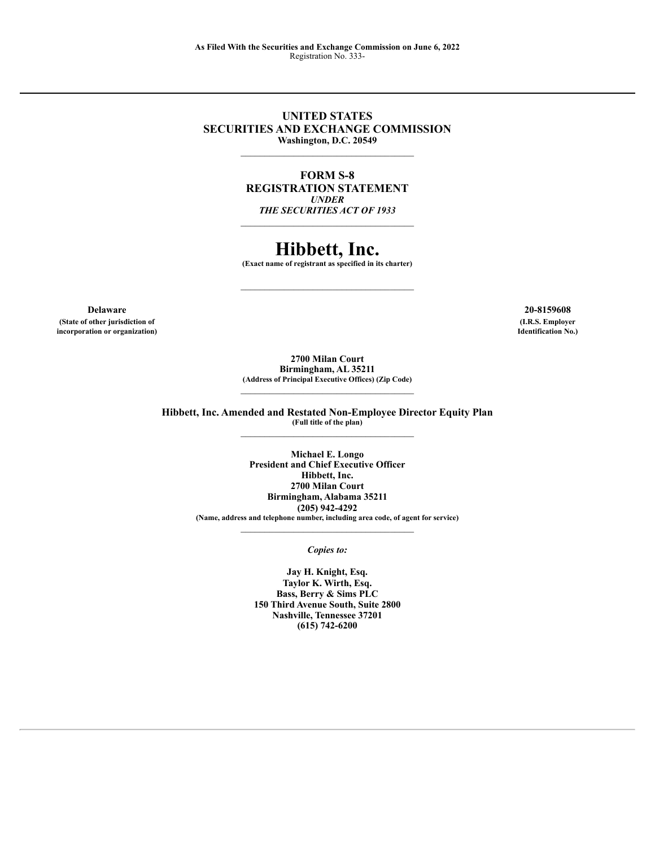### **UNITED STATES SECURITIES AND EXCHANGE COMMISSION Washington, D.C. 20549**

**FORM S-8 REGISTRATION STATEMENT** *UNDER THE SECURITIES ACT OF 1933*

# **Hibbett, Inc.**

**(Exact name of registrant as specified in its charter)**

**Delaware 20-8159608 (State of other jurisdiction of (I.R.S. Employer incorporation or organization) Identification No.)**

**2700 Milan Court Birmingham, AL 35211 (Address of Principal Executive Offices) (Zip Code)**

**Hibbett, Inc. Amended and Restated Non-Employee Director Equity Plan (Full title of the plan)**

> **Michael E. Longo President and Chief Executive Officer Hibbett, Inc. 2700 Milan Court Birmingham, Alabama 35211 (205) 942-4292 (Name, address and telephone number, including area code, of agent for service)**  $\mathcal{L}_\text{max}$

> > *Copies to:*

**Jay H. Knight, Esq. Taylor K. Wirth, Esq. Bass, Berry & Sims PLC 150 Third Avenue South, Suite 2800 Nashville, Tennessee 37201 (615) 742-6200**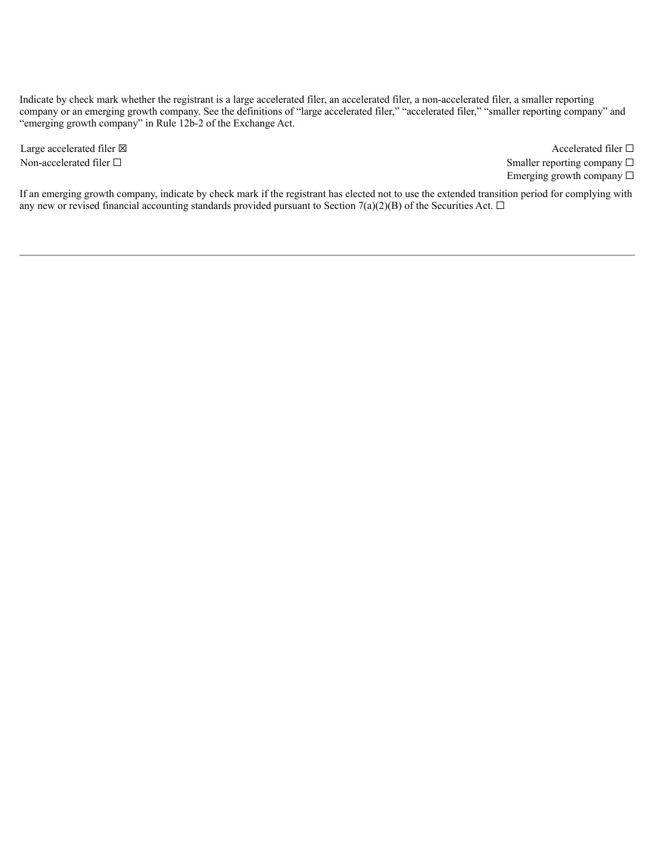Indicate by check mark whether the registrant is a large accelerated filer, an accelerated filer, a non-accelerated filer, a smaller reporting company or an emerging growth company. See the definitions of "large accelerated filer," "accelerated filer," "smaller reporting company" and "emerging growth company" in Rule 12b-2 of the Exchange Act.

Large accelerated filer ⊠ accelerated filer □ Non-accelerated filer □ Smaller reporting company □ Emerging growth company  $\Box$ 

If an emerging growth company, indicate by check mark if the registrant has elected not to use the extended transition period for complying with any new or revised financial accounting standards provided pursuant to Section 7(a)(2)(B) of the Securities Act.  $\Box$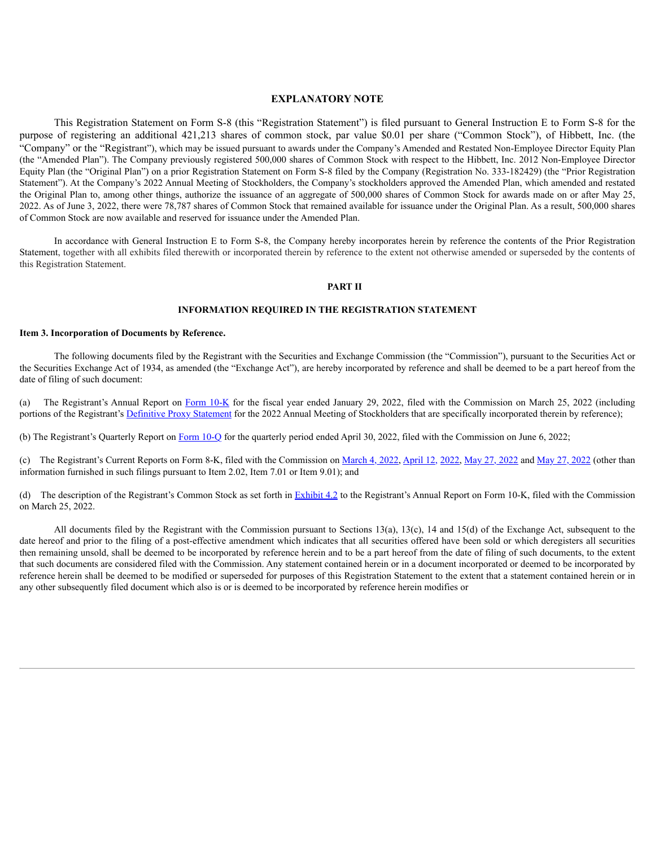#### **EXPLANATORY NOTE**

This Registration Statement on Form S-8 (this "Registration Statement") is filed pursuant to General Instruction E to Form S-8 for the purpose of registering an additional 421,213 shares of common stock, par value \$0.01 per share ("Common Stock"), of Hibbett, Inc. (the "Company" or the "Registrant"), which may be issued pursuant to awards under the Company's Amended and Restated Non-Employee Director Equity Plan (the "Amended Plan"). The Company previously registered 500,000 shares of Common Stock with respect to the Hibbett, Inc. 2012 Non-Employee Director Equity Plan (the "Original Plan") on a prior Registration Statement on Form S-8 filed by the Company (Registration No. 333-182429) (the "Prior Registration Statement"). At the Company's 2022 Annual Meeting of Stockholders, the Company's stockholders approved the Amended Plan, which amended and restated the Original Plan to, among other things, authorize the issuance of an aggregate of 500,000 shares of Common Stock for awards made on or after May 25, 2022. As of June 3, 2022, there were 78,787 shares of Common Stock that remained available for issuance under the Original Plan. As a result, 500,000 shares of Common Stock are now available and reserved for issuance under the Amended Plan.

In accordance with General Instruction E to Form S-8, the Company hereby incorporates herein by reference the contents of the Prior Registration Statement, together with all exhibits filed therewith or incorporated therein by reference to the extent not otherwise amended or superseded by the contents of this Registration Statement.

#### **PART II**

#### **INFORMATION REQUIRED IN THE REGISTRATION STATEMENT**

#### **Item 3. Incorporation of Documents by Reference.**

The following documents filed by the Registrant with the Securities and Exchange Commission (the "Commission"), pursuant to the Securities Act or the Securities Exchange Act of 1934, as amended (the "Exchange Act"), are hereby incorporated by reference and shall be deemed to be a part hereof from the date of filing of such document:

(a) The Registrant's Annual Report on [Form](https://content.edgar-online.com/ExternalLink/EDGAR/0001017480-22-000023.html?hash=762d96ef43afc46f318acfa8d584704ef548108ea1434fa6a1ff95557f6f0332&dest=hibb-20220129_htm) 10[-K](https://content.edgar-online.com/ExternalLink/EDGAR/0001017480-22-000023.html?hash=762d96ef43afc46f318acfa8d584704ef548108ea1434fa6a1ff95557f6f0332&dest=hibb-20220129_htm) for the fiscal year ended January 29, 2022, filed with the Commission on March 25, 2022 (including portions of the Registrant's [Definitive](https://content.edgar-online.com/ExternalLink/EDGAR/0001017480-22-000090.html?hash=d5180d038a3dd2b65647743559664dea5f56f8550944601fef1b9d6c54a290dd&dest=a2022proxystatement_htm) Prox[y](https://content.edgar-online.com/ExternalLink/EDGAR/0001017480-22-000090.html?hash=d5180d038a3dd2b65647743559664dea5f56f8550944601fef1b9d6c54a290dd&dest=a2022proxystatement_htm) [Statement](https://content.edgar-online.com/ExternalLink/EDGAR/0001017480-22-000090.html?hash=d5180d038a3dd2b65647743559664dea5f56f8550944601fef1b9d6c54a290dd&dest=a2022proxystatement_htm) for the 2022 Annual Meeting of Stockholders that are specifically incorporated therein by reference);

(b) The Registrant's Quarterly Report on [Form](https://content.edgar-online.com/ExternalLink/EDGAR/0001017480-22-000105.html?hash=e9e7ca467788e5d0915fca3a23331246dfc747ba064e48098e9931597e1e417f&dest=hibb-20220430_htm) 10-Q for the quarterly period ended April 30, 2022, filed with the Commission on June 6, 2022;

(c) The Registrant's Current Reports on Form 8-K, filed with the Commission on [March](https://content.edgar-online.com/ExternalLink/EDGAR/0001017480-22-000010.html?hash=19b15dc61367471dbbb7408212670e15ea645319930e189980f78b385f0cb3c8&dest=hibb-20220302_htm) 4, [2022](https://content.edgar-online.com/ExternalLink/EDGAR/0001017480-22-000096.html?hash=2e1884d563ef63c12dfbfa29558d45be739b618c7ef094f85ac5d906ac497a99&dest=hibb-20220525_htm), [April](https://content.edgar-online.com/ExternalLink/EDGAR/0001017480-22-000084.html?hash=d6e17c6312922d31b9aaba28787e643e11bdb90e04ef932637eac6c7fe4fcfee&dest=hibb-20220407_htm) 12, [2022,](https://content.edgar-online.com/ExternalLink/EDGAR/0001017480-22-000084.html?hash=d6e17c6312922d31b9aaba28787e643e11bdb90e04ef932637eac6c7fe4fcfee&dest=hibb-20220407_htm) [May](https://content.edgar-online.com/ExternalLink/EDGAR/0001017480-22-000094.html?hash=f35ee3fd4bfefb8c8c2c1ba08d1601955d27a2132dd4815c61b0d7623ff27005&dest=hibb-20220525_htm) [27,](https://content.edgar-online.com/ExternalLink/EDGAR/0001017480-22-000094.html?hash=f35ee3fd4bfefb8c8c2c1ba08d1601955d27a2132dd4815c61b0d7623ff27005&dest=hibb-20220525_htm) 2022 and May 27, 2022 (other than information furnished in such filings pursuant to Item 2.02, Item 7.01 or Item 9.01); and

(d) The description of the Registrant's Common Stock as set forth in **[Exhibit](https://content.edgar-online.com/ExternalLink/EDGAR/0001017480-22-000023.html?hash=762d96ef43afc46f318acfa8d584704ef548108ea1434fa6a1ff95557f6f0332&dest=hibb-20220129xex42_htm) [4.2](https://content.edgar-online.com/ExternalLink/EDGAR/0001017480-22-000023.html?hash=762d96ef43afc46f318acfa8d584704ef548108ea1434fa6a1ff95557f6f0332&dest=hibb-20220129xex42_htm)** to the Registrant's Annual Report on Form 10-K, filed with the Commission on March 25, 2022.

All documents filed by the Registrant with the Commission pursuant to Sections 13(a), 13(c), 14 and 15(d) of the Exchange Act, subsequent to the date hereof and prior to the filing of a post-effective amendment which indicates that all securities offered have been sold or which deregisters all securities then remaining unsold, shall be deemed to be incorporated by reference herein and to be a part hereof from the date of filing of such documents, to the extent that such documents are considered filed with the Commission. Any statement contained herein or in a document incorporated or deemed to be incorporated by reference herein shall be deemed to be modified or superseded for purposes of this Registration Statement to the extent that a statement contained herein or in any other subsequently filed document which also is or is deemed to be incorporated by reference herein modifies or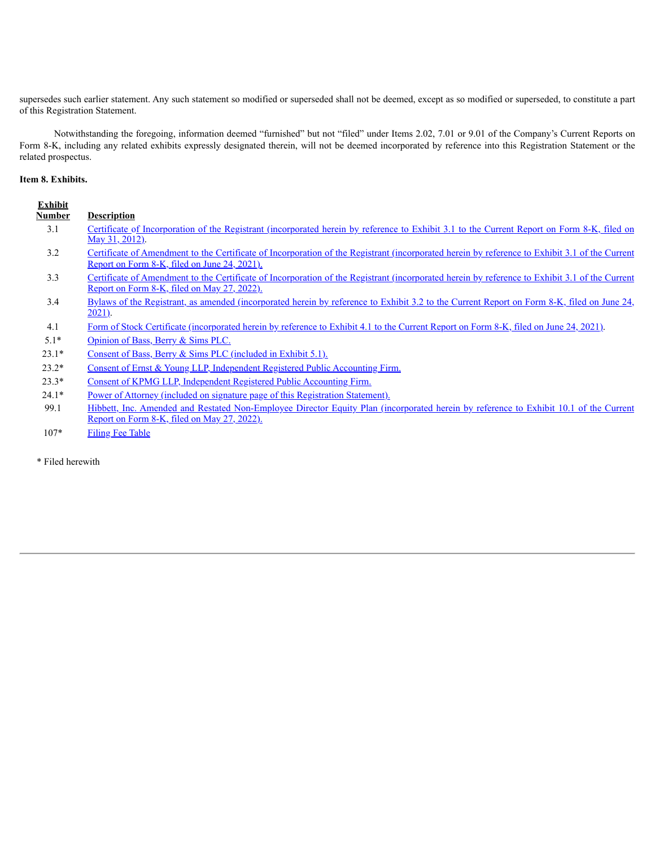supersedes such earlier statement. Any such statement so modified or superseded shall not be deemed, except as so modified or superseded, to constitute a part of this Registration Statement.

Notwithstanding the foregoing, information deemed "furnished" but not "filed" under Items 2.02, 7.01 or 9.01 of the Company's Current Reports on Form 8-K, including any related exhibits expressly designated therein, will not be deemed incorporated by reference into this Registration Statement or the related prospectus.

## **Item 8. Exhibits.**

| Certificate of Incorporation of the Registrant (incorporated herein by reference to Exhibit 3.1 to the Current Report on Form 8-K, filed on                                                                                                                                       |
|-----------------------------------------------------------------------------------------------------------------------------------------------------------------------------------------------------------------------------------------------------------------------------------|
| Certificate of Amendment to the Certificate of Incorporation of the Registrant (incorporated herein by reference to Exhibit 3.1 of the Current<br>Report on Form 8-K, filed on June 24, 2021).                                                                                    |
| Certificate of Amendment to the Certificate of Incorporation of the Registrant (incorporated herein by reference to Exhibit 3.1 of the Current<br>Report on Form 8-K, filed on May 27, 2022).                                                                                     |
| Bylaws of the Registrant, as amended (incorporated herein by reference to Exhibit 3.2 to the Current Report on Form 8-K, filed on June 24,                                                                                                                                        |
| Form of Stock Certificate (incorporated herein by reference to Exhibit 4.1 to the Current Report on Form 8-K, filed on June 24, 2021).                                                                                                                                            |
|                                                                                                                                                                                                                                                                                   |
| Consent of Bass, Berry & Sims PLC (included in Exhibit 5.1).                                                                                                                                                                                                                      |
| Consent of Ernst & Young LLP, Independent Registered Public Accounting Firm.                                                                                                                                                                                                      |
| Consent of KPMG LLP, Independent Registered Public Accounting Firm.                                                                                                                                                                                                               |
| Power of Attorney (included on signature page of this Registration Statement).<br>$\mathbf{m}$ and a set of $\mathbf{m}$ and $\mathbf{m}$ and $\mathbf{m}$ and $\mathbf{m}$ and $\mathbf{m}$ and $\mathbf{m}$ and $\mathbf{m}$ and $\mathbf{m}$ and $\mathbf{m}$ and $\mathbf{m}$ |
| Opinion of Bass, Berry & Sims PLC.                                                                                                                                                                                                                                                |

99.1 Hibbett, Inc. Amended and Restated [Non-Employee](https://content.edgar-online.com/ExternalLink/EDGAR/0001017480-22-000096.html?hash=2e1884d563ef63c12dfbfa29558d45be739b618c7ef094f85ac5d906ac497a99&dest=ex101_restatednon-employee_htm) Director Equity Plan (incorporated herein by reference to Exhibit 10.1 of the Current [Report](https://content.edgar-online.com/ExternalLink/EDGAR/0001017480-22-000096.html?hash=2e1884d563ef63c12dfbfa29558d45be739b618c7ef094f85ac5d906ac497a99&dest=ex101_restatednon-employee_htm) on Form 8-K, filed on May [27,](https://content.edgar-online.com/ExternalLink/EDGAR/0001017480-22-000096.html?hash=2e1884d563ef63c12dfbfa29558d45be739b618c7ef094f85ac5d906ac497a99&dest=ex101_restatednon-employee_htm) [2022\).](https://content.edgar-online.com/ExternalLink/EDGAR/0001017480-22-000096.html?hash=2e1884d563ef63c12dfbfa29558d45be739b618c7ef094f85ac5d906ac497a99&dest=ex101_restatednon-employee_htm)

107\* [Filing](#page-6-0) Fee Table

\* Filed herewith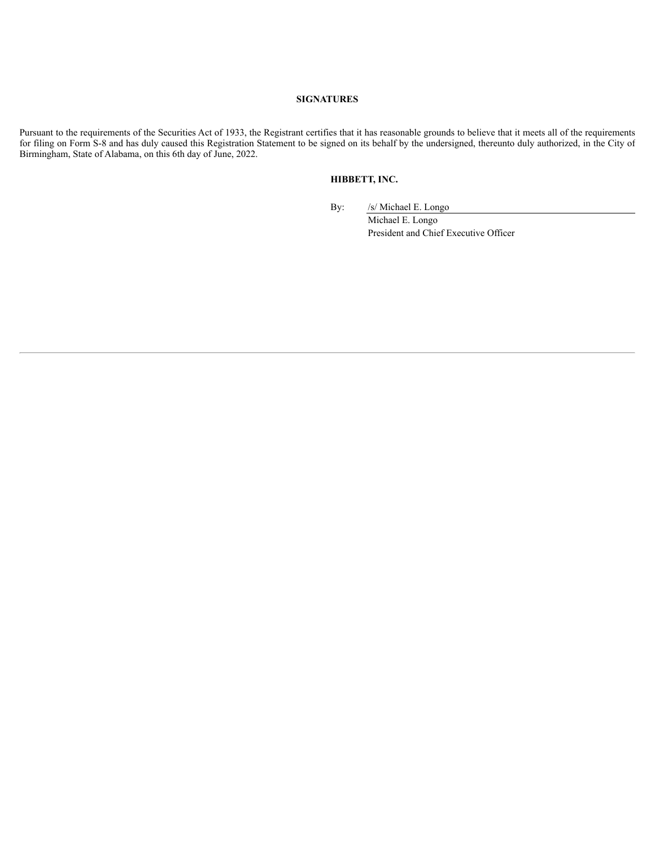### **SIGNATURES**

<span id="page-4-0"></span>Pursuant to the requirements of the Securities Act of 1933, the Registrant certifies that it has reasonable grounds to believe that it meets all of the requirements for filing on Form S-8 and has duly caused this Registration Statement to be signed on its behalf by the undersigned, thereunto duly authorized, in the City of Birmingham, State of Alabama, on this 6th day of June, 2022.

## **HIBBETT, INC.**

By: /s/ Michael E. Longo

Michael E. Longo President and Chief Executive Officer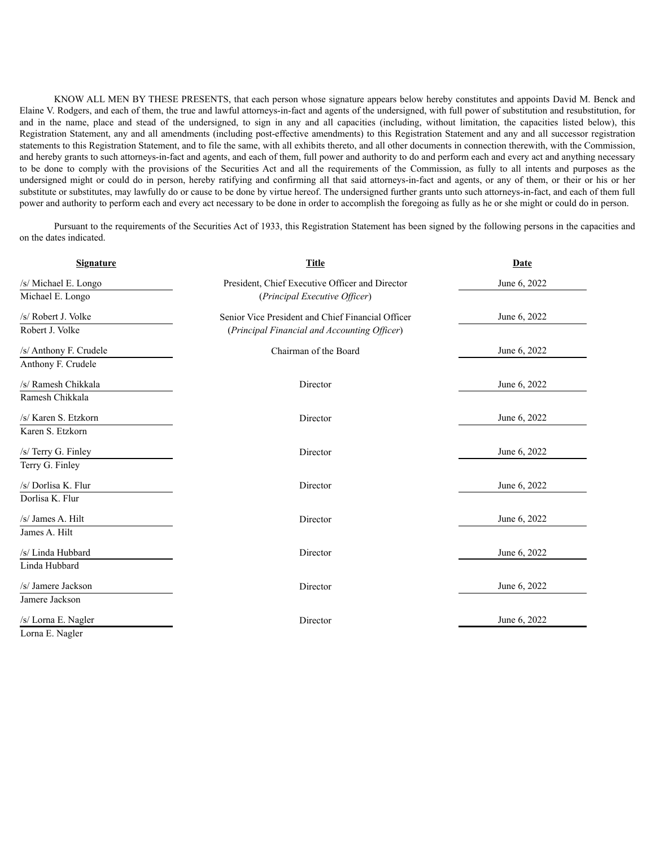KNOW ALL MEN BY THESE PRESENTS, that each person whose signature appears below hereby constitutes and appoints David M. Benck and Elaine V. Rodgers, and each of them, the true and lawful attorneys-in-fact and agents of the undersigned, with full power of substitution and resubstitution, for and in the name, place and stead of the undersigned, to sign in any and all capacities (including, without limitation, the capacities listed below), this Registration Statement, any and all amendments (including post-effective amendments) to this Registration Statement and any and all successor registration statements to this Registration Statement, and to file the same, with all exhibits thereto, and all other documents in connection therewith, with the Commission, and hereby grants to such attorneys-in-fact and agents, and each of them, full power and authority to do and perform each and every act and anything necessary to be done to comply with the provisions of the Securities Act and all the requirements of the Commission, as fully to all intents and purposes as the undersigned might or could do in person, hereby ratifying and confirming all that said attorneys-in-fact and agents, or any of them, or their or his or her substitute or substitutes, may lawfully do or cause to be done by virtue hereof. The undersigned further grants unto such attorneys-in-fact, and each of them full power and authority to perform each and every act necessary to be done in order to accomplish the foregoing as fully as he or she might or could do in person.

Pursuant to the requirements of the Securities Act of 1933, this Registration Statement has been signed by the following persons in the capacities and on the dates indicated.

| <b>Signature</b>       | <b>Title</b>                                      |              |  |  |
|------------------------|---------------------------------------------------|--------------|--|--|
| /s/ Michael E. Longo   | President, Chief Executive Officer and Director   | June 6, 2022 |  |  |
| Michael E. Longo       | (Principal Executive Officer)                     |              |  |  |
| /s/ Robert J. Volke    | Senior Vice President and Chief Financial Officer | June 6, 2022 |  |  |
| Robert J. Volke        | (Principal Financial and Accounting Officer)      |              |  |  |
| /s/ Anthony F. Crudele | Chairman of the Board                             | June 6, 2022 |  |  |
| Anthony F. Crudele     |                                                   |              |  |  |
| /s/ Ramesh Chikkala    | Director                                          | June 6, 2022 |  |  |
| Ramesh Chikkala        |                                                   |              |  |  |
| /s/ Karen S. Etzkorn   | Director                                          | June 6, 2022 |  |  |
| Karen S. Etzkorn       |                                                   |              |  |  |
| /s/ Terry G. Finley    | Director                                          | June 6, 2022 |  |  |
| Terry G. Finley        |                                                   |              |  |  |
| /s/ Dorlisa K. Flur    | Director                                          | June 6, 2022 |  |  |
| Dorlisa K. Flur        |                                                   |              |  |  |
| /s/ James A. Hilt      | Director                                          | June 6, 2022 |  |  |
| James A. Hilt          |                                                   |              |  |  |
| /s/ Linda Hubbard      | Director                                          | June 6, 2022 |  |  |
| Linda Hubbard          |                                                   |              |  |  |
| /s/ Jamere Jackson     | Director                                          | June 6, 2022 |  |  |
| Jamere Jackson         |                                                   |              |  |  |
| /s/ Lorna E. Nagler    | Director                                          | June 6, 2022 |  |  |

Lorna E. Nagler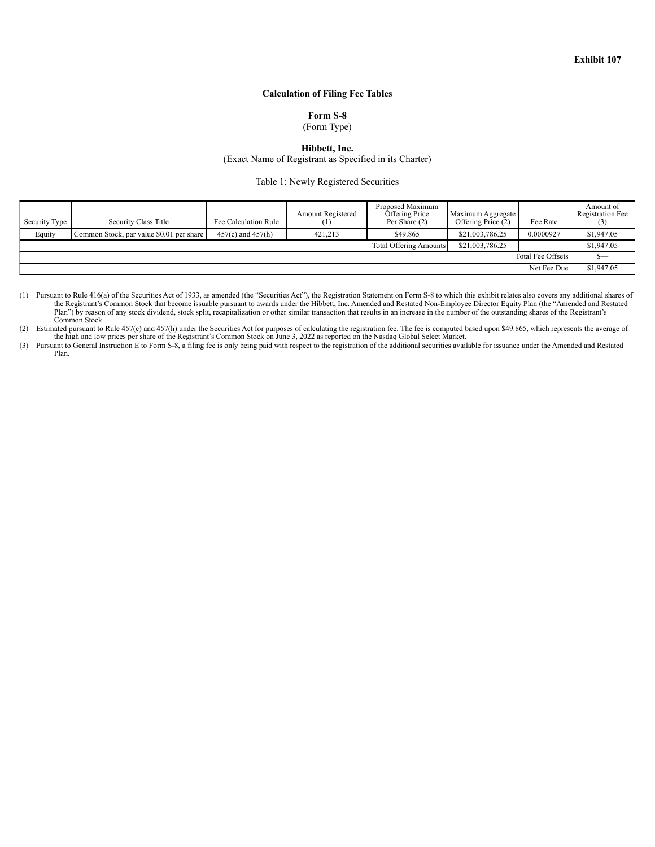## **Calculation of Filing Fee Tables**

**Form S-8**

(Form Type)

**Hibbett, Inc.**

(Exact Name of Registrant as Specified in its Charter)

Table 1: Newly Registered Securities

<span id="page-6-0"></span>

| Security Type | Security Class Title                     | Fee Calculation Rule  | Amount Registered | Proposed Maximum<br>Offering Price<br>Per Share (2) | Maximum Aggregate<br>Offering Price (2) | Fee Rate                 | Amount of<br><b>Registration Fee</b> |
|---------------|------------------------------------------|-----------------------|-------------------|-----------------------------------------------------|-----------------------------------------|--------------------------|--------------------------------------|
| Equity        | Common Stock, par value \$0.01 per share | $457(c)$ and $457(h)$ | 421.213           | \$49.865                                            | \$21,003,786.25                         | 0.0000927                | \$1,947.05                           |
|               |                                          |                       |                   | <b>Total Offering Amounts</b>                       | \$21,003,786.25                         |                          | \$1,947.05                           |
|               |                                          |                       |                   |                                                     |                                         | <b>Total Fee Offsets</b> |                                      |
|               |                                          |                       |                   |                                                     |                                         | Net Fee Due              | \$1,947.05                           |

(1) Pursuant to Rule 416(a) of the Securities Act of 1933, as amended (the "Securities Act"), the Registration Statement on Form S-8 to which this exhibit relates also covers any additional shares of the Registrant's Commo Plan") by reason of any stock dividend, stock split, recapitalization or other similar transaction that results in an increase in the number of the outstanding shares of the Registrant's Common Stock.

(2) Estimated pursuant to Rule 457(c) and 457(h) under the Securities Act for purposes of calculating the registration fee. The fee is computed based upon \$49.865, which represents the average of the high and low prices pe

(3) Pursuant to General Instruction E to Form S-8, a filing fee is only being paid with respect to the registration of the additional securities available for issuance under the Amended and Restated Plan.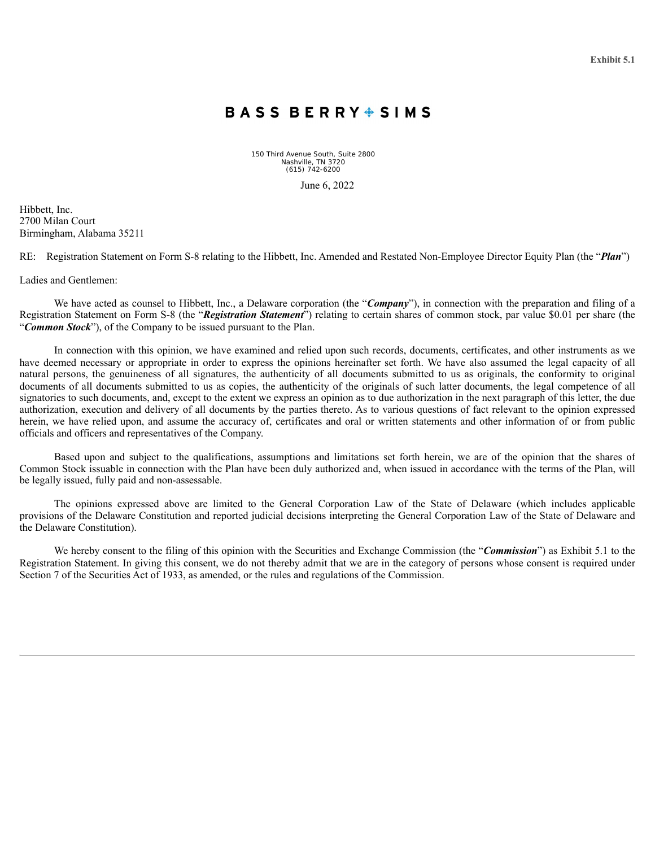# BASS BERRY SIMS

150 Third Avenue South, Suite 2800 Nashville, TN 3720 (615) 742-6200

June 6, 2022

<span id="page-7-0"></span>Hibbett, Inc. 2700 Milan Court Birmingham, Alabama 35211

RE: Registration Statement on Form S-8 relating to the Hibbett, Inc. Amended and Restated Non-Employee Director Equity Plan (the "*Plan*")

Ladies and Gentlemen:

We have acted as counsel to Hibbett, Inc., a Delaware corporation (the "*Company*"), in connection with the preparation and filing of a Registration Statement on Form S-8 (the "*Registration Statement*") relating to certain shares of common stock, par value \$0.01 per share (the "*Common Stock*"), of the Company to be issued pursuant to the Plan.

In connection with this opinion, we have examined and relied upon such records, documents, certificates, and other instruments as we have deemed necessary or appropriate in order to express the opinions hereinafter set forth. We have also assumed the legal capacity of all natural persons, the genuineness of all signatures, the authenticity of all documents submitted to us as originals, the conformity to original documents of all documents submitted to us as copies, the authenticity of the originals of such latter documents, the legal competence of all signatories to such documents, and, except to the extent we express an opinion as to due authorization in the next paragraph of this letter, the due authorization, execution and delivery of all documents by the parties thereto. As to various questions of fact relevant to the opinion expressed herein, we have relied upon, and assume the accuracy of, certificates and oral or written statements and other information of or from public officials and officers and representatives of the Company.

Based upon and subject to the qualifications, assumptions and limitations set forth herein, we are of the opinion that the shares of Common Stock issuable in connection with the Plan have been duly authorized and, when issued in accordance with the terms of the Plan, will be legally issued, fully paid and non-assessable.

The opinions expressed above are limited to the General Corporation Law of the State of Delaware (which includes applicable provisions of the Delaware Constitution and reported judicial decisions interpreting the General Corporation Law of the State of Delaware and the Delaware Constitution).

We hereby consent to the filing of this opinion with the Securities and Exchange Commission (the "*Commission*") as Exhibit 5.1 to the Registration Statement. In giving this consent, we do not thereby admit that we are in the category of persons whose consent is required under Section 7 of the Securities Act of 1933, as amended, or the rules and regulations of the Commission.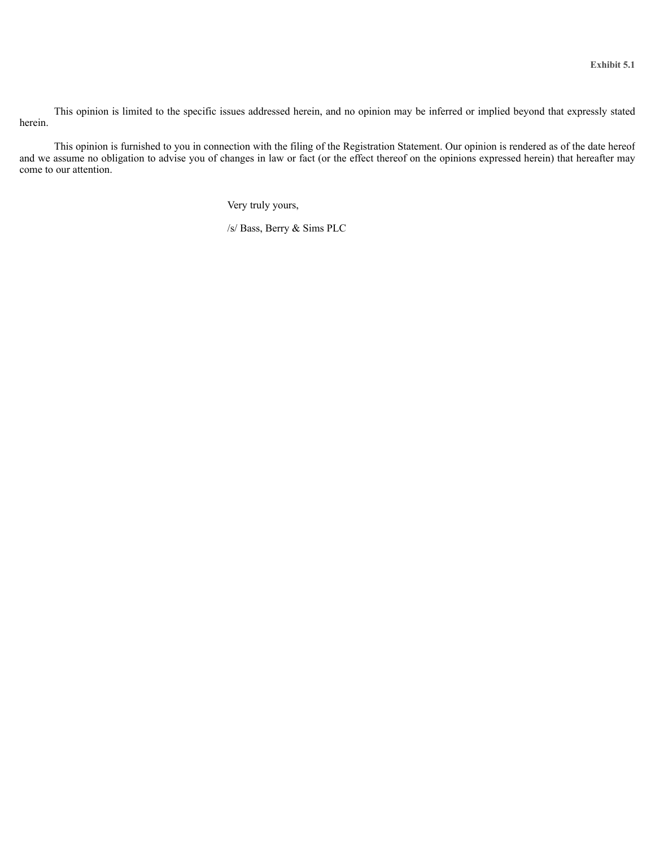This opinion is limited to the specific issues addressed herein, and no opinion may be inferred or implied beyond that expressly stated herein.

This opinion is furnished to you in connection with the filing of the Registration Statement. Our opinion is rendered as of the date hereof and we assume no obligation to advise you of changes in law or fact (or the effect thereof on the opinions expressed herein) that hereafter may come to our attention.

Very truly yours,

/s/ Bass, Berry & Sims PLC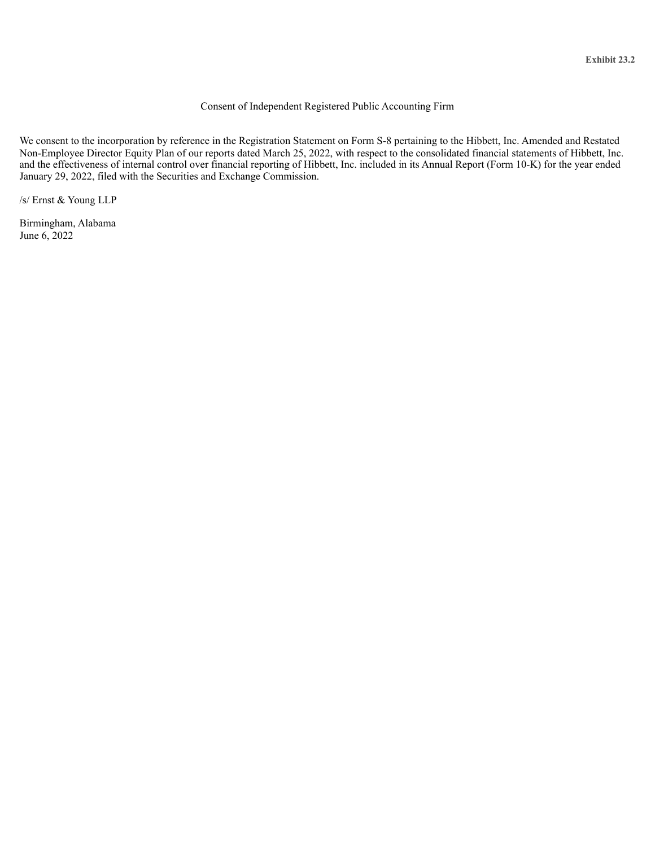## Consent of Independent Registered Public Accounting Firm

<span id="page-9-0"></span>We consent to the incorporation by reference in the Registration Statement on Form S-8 pertaining to the Hibbett, Inc. Amended and Restated Non-Employee Director Equity Plan of our reports dated March 25, 2022, with respect to the consolidated financial statements of Hibbett, Inc. and the effectiveness of internal control over financial reporting of Hibbett, Inc. included in its Annual Report (Form 10-K) for the year ended January 29, 2022, filed with the Securities and Exchange Commission.

/s/ Ernst & Young LLP

Birmingham, Alabama June 6, 2022